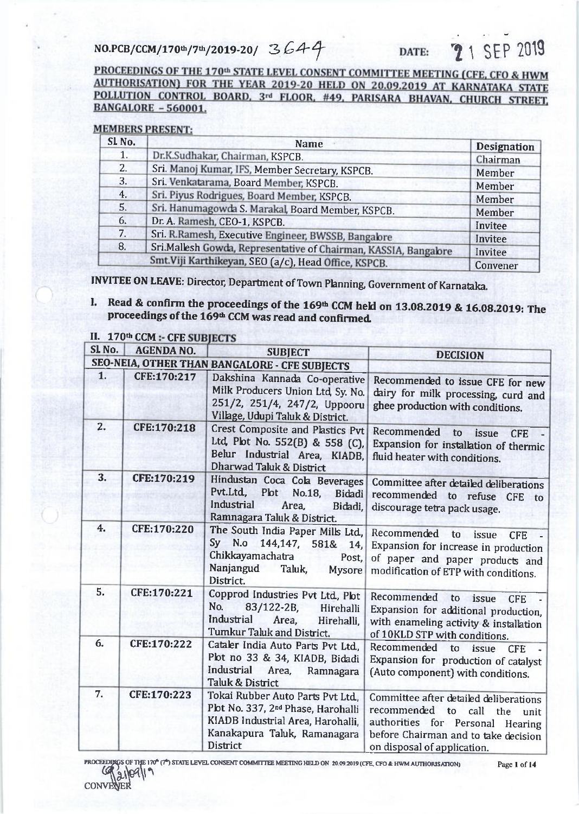NO.PCB/CCM/170th/7th/2019-20/ 3644

**2** 1 SEP 2019 DATE:

PROCEEDINGS OF THE 170th STATE LEVEL CONSENT COMMITTEE MEETING (CFE, CFO & HWM AUTHORISATION) FOR THE YEAR 2019-20 HELD ON 20.09.2019 AT KARNATAKA STATE POLLUTION CONTROL BOARD, 3rd FLOOR, #49, PARISARA BHAVAN, CHURCH STREET. **BANGALORE - 560001.** 

## **MEMBERS PRESENT:**

| SL <sub>No.</sub> | <b>Name</b>                                                     | <b>Designation</b> |
|-------------------|-----------------------------------------------------------------|--------------------|
| 1.                | Dr.K.Sudhakar, Chairman, KSPCB.                                 | Chairman           |
| 2.                | Sri. Manoj Kumar, IFS, Member Secretary, KSPCB.                 | Member             |
| 3.                | Sri. Venkatarama, Board Member, KSPCB.                          | Member             |
| 4.                | Sri. Piyus Rodrigues, Board Member, KSPCB.                      | Member             |
| 5.                | Sri. Hanumagowda S. Marakal, Board Member, KSPCB.               | Member             |
| 6.                | Dr. A. Ramesh, CEO-1, KSPCB.                                    | Invitee            |
| 7.                | Sri. R.Ramesh, Executive Engineer, BWSSB, Bangalore             |                    |
| 8.                | Sri.Mallesh Gowda, Representative of Chairman, KASSIA, Bangabre | Invitee<br>Invitee |
|                   | Smt. Viji Karthikeyan, SEO (a/c), Head Office, KSPCB.           | Convener           |

**INVITEE ON LEAVE: Director, Department of Town Planning, Government of Karnataka.** 

I. Read & confirm the proceedings of the 169th CCM held on 13.08.2019 & 16.08.2019: The proceedings of the 169<sup>th</sup> CCM was read and confirmed.

| SL <sub>No.</sub> | <b>AGENDA NO.</b> | <b>SUBJECT</b>                                                                                                                                                             | <b>DECISION</b>                                                                                                                                                                            |
|-------------------|-------------------|----------------------------------------------------------------------------------------------------------------------------------------------------------------------------|--------------------------------------------------------------------------------------------------------------------------------------------------------------------------------------------|
|                   |                   | SEO-NEIA, OTHER THAN BANGALORE - CFE SUBJECTS                                                                                                                              |                                                                                                                                                                                            |
| 1.                | CFE:170:217       | Dakshina Kannada Co-operative<br>Milk Producers Union Ltd, Sy. No.<br>251/2, 251/4, 247/2, Uppooru<br>Village, Udupi Taluk & District.                                     | Recommended to issue CFE for new<br>dairy for milk processing, curd and<br>ghee production with conditions.                                                                                |
| 2.                | CFE:170:218       | Crest Composite and Plastics Pvt<br>Ltd, Plot No. 552(B) & 558 (C),<br>Belur Industrial Area, KIADB,<br><b>Dharwad Taluk &amp; District</b>                                | Recommended<br>to<br>issue<br><b>CFE</b><br>Expansion for installation of thermic<br>fluid heater with conditions.                                                                         |
| 3.                | CFE:170:219       | Hindustan Coca Cola Beverages<br>Pvt.Ltd., Plot<br>No.18.<br>Bidadi<br><b>Industrial</b><br>Area,<br>Bidadi,<br>Ramnagara Taluk & District.                                | Committee after detailed deliberations<br>recommended to refuse CFE to<br>discourage tetra pack usage.                                                                                     |
| 4.                | CFE:170:220       | The South India Paper Mills Ltd., Recommended to issue<br>Chikkayamachatra<br>Post,<br>Nanjangud<br>Taluk,<br><b>Mysore</b><br>District.                                   | <b>CFE</b><br>Sy N.o 144,147, 581& 14, Expansion for increase in production<br>of paper and paper products and<br>modification of ETP with conditions.                                     |
| 5.                | CFE:170:221       | Copprod Industries Pvt Ltd., Plot<br>No.<br>$83/122 - 2B$<br>Hirehalli<br>Industrial<br>Area,<br>Hirehalli,<br>Tumkur Taluk and District.                                  | Recommended<br>to<br>issue<br><b>CFE</b><br>Expansion for additional production,<br>with enameling activity & installation<br>of 10KLD STP with conditions.                                |
| 6.                | CFE:170:222       | Cataler India Auto Parts Pvt Ltd.,<br>Plot no 33 & 34, KIADB, Bidadi<br>Industrial<br>Area,<br>Ramnagara<br><b>Taluk &amp; District</b>                                    | Recommended<br>to<br>issue<br><b>CFE</b><br>Expansion for production of catalyst<br>(Auto component) with conditions.                                                                      |
| 7.                | CFE:170:223       | Tokai Rubber Auto Parts Pvt Ltd,<br>Plot No. 337, 2 <sup>nd</sup> Phase, Harohalli<br>KIADB Industrial Area, Harohalli,<br>Kanakapura Taluk, Ramanagara<br><b>District</b> | Committee after detailed deliberations<br>recommended to<br>call<br>the<br>unit<br>authorities for Personal Hearing<br>before Chairman and to take decision<br>on disposal of application. |

OF THE 170<sup>th</sup> (7<sup>th</sup>) STATE LEVEL CONSENT COMMITTEE MEETING HELD ON 20.09.2019 (CFE, CFO & HWM AUTHORISATION) ROCEEDI  $210919$ 

CONVE

Page 1 of 14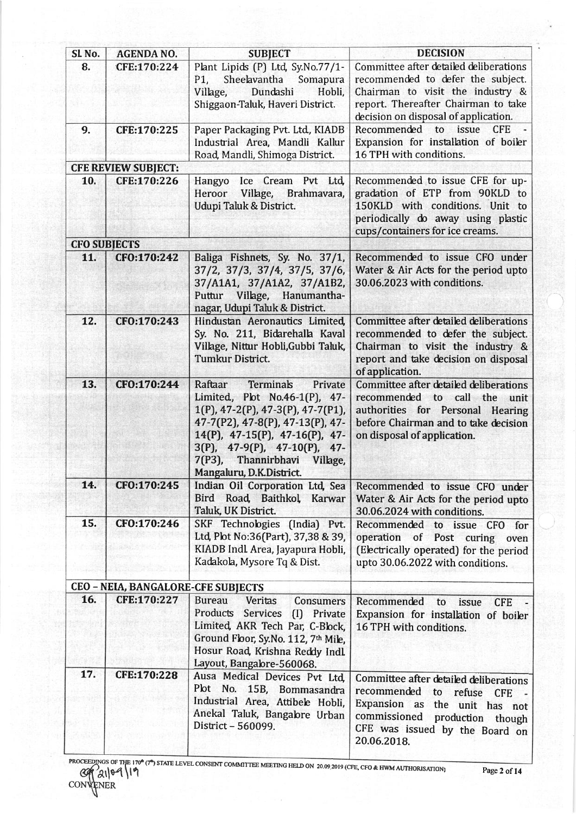| SL <sub>No.</sub>   | <b>AGENDA NO.</b>                  | <b>SUBJECT</b>                                                                                                                                                                                                                                                                         | <b>DECISION</b>                                                                                                                                                                                       |
|---------------------|------------------------------------|----------------------------------------------------------------------------------------------------------------------------------------------------------------------------------------------------------------------------------------------------------------------------------------|-------------------------------------------------------------------------------------------------------------------------------------------------------------------------------------------------------|
| 8.                  | CFE:170:224                        | Plant Lipids (P) Ltd, Sy.No.77/1-<br>Sheelavantha<br>P1,<br>Somapura<br>Dundashi<br>Hobli,<br>Village,<br>Shiggaon-Taluk, Haveri District.                                                                                                                                             | Committee after detailed deliberations<br>recommended to defer the subject.<br>Chairman to visit the industry &<br>report. Thereafter Chairman to take<br>decision on disposal of application.        |
| 9.                  | CFE:170:225                        | Paper Packaging Pvt. Ltd., KIADB<br>Industrial Area, Mandli Kallur<br>Road, Mandli, Shimoga District.                                                                                                                                                                                  | Recommended to issue<br><b>CFE</b><br>Expansion for installation of boiler<br>16 TPH with conditions.                                                                                                 |
|                     | <b>CFE REVIEW SUBJECT:</b>         |                                                                                                                                                                                                                                                                                        |                                                                                                                                                                                                       |
| 10.                 | CFE:170:226                        | Hangyo Ice Cream Pvt Ltd,<br>Heroor Village, Brahmavara,<br>Udupi Taluk & District.                                                                                                                                                                                                    | Recommended to issue CFE for up-<br>gradation of ETP from 90KLD to<br>150KLD with conditions. Unit to<br>periodically do away using plastic<br>cups/containers for ice creams.                        |
| <b>CFO SUBJECTS</b> |                                    |                                                                                                                                                                                                                                                                                        |                                                                                                                                                                                                       |
| 11.                 | CFO:170:242                        | Baliga Fishnets, Sy. No. 37/1,<br>37/2, 37/3, 37/4, 37/5, 37/6,<br>37/A1A1, 37/A1A2, 37/A1B2,<br>Puttur Village, Hanumantha-<br>nagar, Udupi Taluk & District.                                                                                                                         | Recommended to issue CFO under<br>Water & Air Acts for the period upto<br>30.06.2023 with conditions.                                                                                                 |
| 12.                 | CFO:170:243                        | Hindustan Aeronautics Limited,<br>Sy. No. 211, Bidarehalla Kaval<br>Village, Nittur Hobli, Gubbi Taluk,<br>Tumkur District.                                                                                                                                                            | Committee after detailed deliberations<br>recommended to defer the subject.<br>Chairman to visit the industry &<br>report and take decision on disposal<br>of application.                            |
| 13.                 | CFO:170:244                        | Raftaar<br>Terminals<br>Private<br>Limited, Plot No.46-1(P), 47-<br>$1(P)$ , 47-2 $(P)$ , 47-3 $(P)$ , 47-7 $(P1)$ ,<br>47-7(P2), 47-8(P), 47-13(P), 47-<br>14(P), 47-15(P), 47-16(P), 47-<br>3(P), 47-9(P), 47-10(P), 47-<br>7(P3), Thannirbhavi Village,<br>Mangaluru, D.K.District. | Committee after detailed deliberations<br>recommended to call the<br>unit<br>authorities for Personal Hearing<br>before Chairman and to take decision<br>on disposal of application.                  |
| 14.                 | CFO:170:245                        | Indian Oil Corporation Ltd, Sea<br>Bird Road, Baithkol, Karwar<br>Taluk, UK District.                                                                                                                                                                                                  | Recommended to issue CFO under<br>Water & Air Acts for the period upto<br>30.06.2024 with conditions.                                                                                                 |
| 15.                 | CFO:170:246                        | SKF Technologies (India) Pvt.<br>Ltd, Plot No:36(Part), 37,38 & 39,<br>KIADB Indl Area, Jayapura Hobli,<br>Kadakola, Mysore Tq & Dist.                                                                                                                                                 | Recommended to issue CFO for<br>operation of Post curing oven<br>(Electrically operated) for the period<br>upto 30.06.2022 with conditions.                                                           |
|                     | CEO - NEIA, BANGALORE-CFE SUBJECTS |                                                                                                                                                                                                                                                                                        |                                                                                                                                                                                                       |
| 16.                 | CFE:170:227                        | <b>Bureau</b><br>Veritas<br>Consumers<br>Products Services (I) Private<br>Limited, AKR Tech Par, C-Block,<br>Ground Floor, Sy.No. 112, 7th Mile,<br>Hosur Road, Krishna Reddy Indl.<br>Layout, Bangalore-560068.                                                                       | Recommended to<br>issue<br><b>CFE</b><br>Expansion for installation of boiler<br>16 TPH with conditions.                                                                                              |
| 17.                 | CFE:170:228                        | Ausa Medical Devices Pvt Ltd.<br>Plot No. 15B, Bommasandra<br>Industrial Area, Attibele Hobli,<br>Anekal Taluk, Bangabre Urban<br>District - 560099.                                                                                                                                   | Committee after detailed deliberations<br>recommended<br>to<br>refuse<br>CFE -<br>Expansion as the unit has not<br>commissioned<br>production though<br>CFE was issued by the Board on<br>20.06.2018. |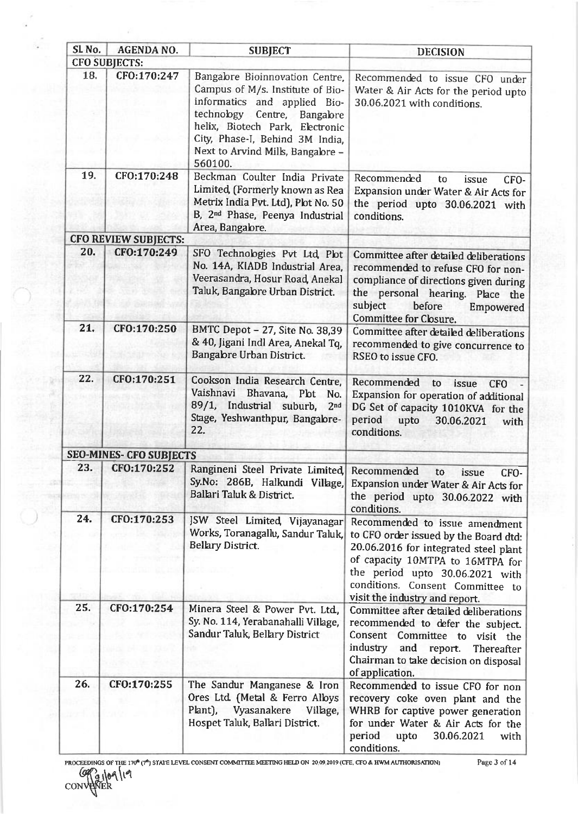| SL No.               | <b>AGENDA NO.</b>              | <b>SUBJECT</b>                                                                                                                                                                                                                                            | <b>DECISION</b>                                                                                                                                                                                                                                               |
|----------------------|--------------------------------|-----------------------------------------------------------------------------------------------------------------------------------------------------------------------------------------------------------------------------------------------------------|---------------------------------------------------------------------------------------------------------------------------------------------------------------------------------------------------------------------------------------------------------------|
| <b>CFO SUBJECTS:</b> |                                |                                                                                                                                                                                                                                                           |                                                                                                                                                                                                                                                               |
| 18.                  | CFO:170:247                    | Bangalore Bioinnovation Centre,<br>Campus of M/s. Institute of Bio-<br>informatics and applied Bio-<br>technology Centre, Bangalore<br>helix, Biotech Park, Electronic<br>City, Phase-I, Behind 3M India,<br>Next to Arvind Mills, Bangalore -<br>560100. | Recommended to issue CFO under<br>Water & Air Acts for the period upto<br>30.06.2021 with conditions.                                                                                                                                                         |
| 19.                  | CFO:170:248                    | Beckman Coulter India Private<br>Limited, (Formerly known as Rea<br>Metrix India Pvt. Ltd), Plot No. 50<br>B, 2 <sup>nd</sup> Phase, Peenya Industrial<br>Area, Bangabre.                                                                                 | Recommended<br>to<br>issue<br>CFO-<br>Expansion under Water & Air Acts for<br>the period upto 30.06.2021 with<br>conditions.                                                                                                                                  |
|                      | <b>CFO REVIEW SUBJECTS:</b>    |                                                                                                                                                                                                                                                           |                                                                                                                                                                                                                                                               |
| 20.                  | CFO:170:249                    | SFO Technologies Pvt Ltd, Plot<br>No. 14A, KIADB Industrial Area,<br>Veerasandra, Hosur Road, Anekal<br>Taluk, Bangabre Urban District.                                                                                                                   | Committee after detailed deliberations<br>recommended to refuse CFO for non-<br>compliance of directions given during<br>the personal hearing. Place the<br>subject<br>before<br>Empowered<br>Committee for Closure.                                          |
| 21.                  | CFO:170:250                    | BMTC Depot - 27, Site No. 38,39<br>& 40, Jigani Indl Area, Anekal Tq,<br>Bangabre Urban District.                                                                                                                                                         | Committee after detailed deliberations<br>recommended to give concurrence to<br>RSEO to issue CFO.                                                                                                                                                            |
| 22.                  | CF0:170:251                    | Cookson India Research Centre,<br>Vaishnavi Bhavana, Plot<br>No.<br>89/1, Industrial suburb,<br>2 <sub>nd</sub><br>Stage, Yeshwanthpur, Bangalore-<br>22.                                                                                                 | Recommended<br>to<br>issue<br><b>CFO</b><br>Expansion for operation of additional<br>DG Set of capacity 1010KVA for the<br>period<br>upto<br>30.06.2021<br>with<br>conditions.                                                                                |
|                      | <b>SEO-MINES- CFO SUBJECTS</b> |                                                                                                                                                                                                                                                           |                                                                                                                                                                                                                                                               |
| 23.                  | CFO:170:252                    | Rangineni Steel Private Limited, Recommended to<br>Ballari Taluk & District.                                                                                                                                                                              | issue<br>CFO-<br>Sy.No: 286B, Halkundi Village, Expansion under Water & Air Acts for<br>the period upto 30.06.2022 with<br>conditions.                                                                                                                        |
| 24.                  | CFO:170:253                    | JSW Steel Limited, Vijayanagar<br>Works, Toranagallu, Sandur Taluk,<br><b>Bellary District.</b>                                                                                                                                                           | Recommended to issue amendment<br>to CFO order issued by the Board dtd:<br>20.06.2016 for integrated steel plant<br>of capacity 10MTPA to 16MTPA for<br>the period upto 30.06.2021 with<br>conditions. Consent Committee to<br>visit the industry and report. |
| 25.                  | CFO:170:254                    | Minera Steel & Power Pvt. Ltd.<br>Sy. No. 114, Yerabanahalli Village,<br>Sandur Taluk, Bellary District                                                                                                                                                   | Committee after detailed deliberations<br>recommended to defer the subject.<br>Consent Committee to visit the<br>industry<br>and<br>report.<br>Thereafter<br>Chairman to take decision on disposal<br>of application.                                         |
| 26.                  | CFO:170:255                    | The Sandur Manganese & Iron<br>Ores Ltd (Metal & Ferro Albys<br>Plant), Vyasanakere<br>Village,<br>Hospet Taluk, Ballari District.                                                                                                                        | Recommended to issue CFO for non<br>recovery coke oven plant and the<br>WHRB for captive power generation<br>for under Water & Air Acts for the<br>period<br>upto 30.06.2021<br>with<br>conditions.                                                           |

÷,

脑

 $-320$ 

PROCEEDBNGS OF THE 170<sup>4</sup> (7<sup>4</sup>) STATE LEVEL CONSENT COMMITTEE MEETING HELD ON 20,09 2019 (CFE, CFO & HWM AUTHORISATION  $@P<sub>a10410</sub>$ CONVENER